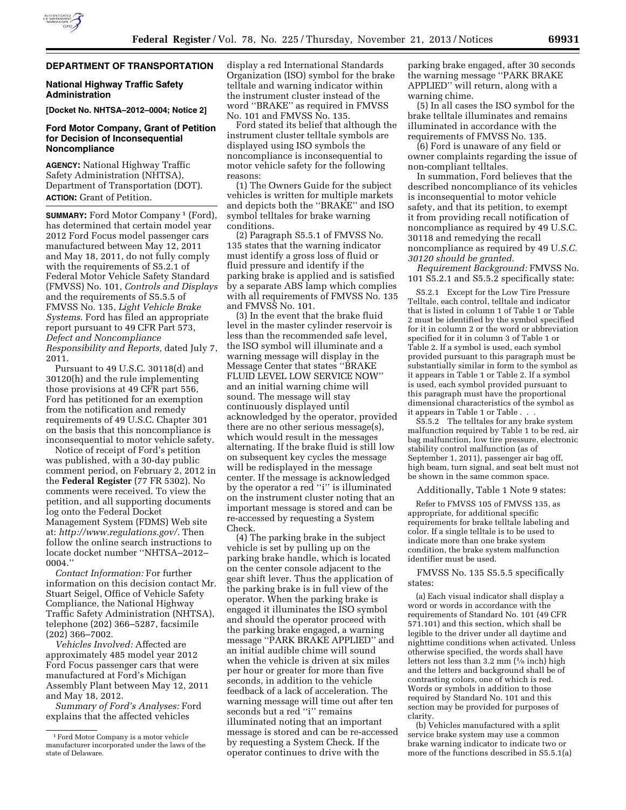

## **DEPARTMENT OF TRANSPORTATION**

#### **National Highway Traffic Safety Administration**

**[Docket No. NHTSA–2012–0004; Notice 2]** 

### **Ford Motor Company, Grant of Petition for Decision of Inconsequential Noncompliance**

**AGENCY:** National Highway Traffic Safety Administration (NHTSA), Department of Transportation (DOT). **ACTION:** Grant of Petition.

**SUMMARY:** Ford Motor Company 1 (Ford), has determined that certain model year 2012 Ford Focus model passenger cars manufactured between May 12, 2011 and May 18, 2011, do not fully comply with the requirements of S5.2.1 of Federal Motor Vehicle Safety Standard (FMVSS) No. 101, *Controls and Displays*  and the requirements of S5.5.5 of FMVSS No. 135, *Light Vehicle Brake Systems*. Ford has filed an appropriate report pursuant to 49 CFR Part 573, *Defect and Noncompliance Responsibility and Reports,* dated July 7, 2011.

Pursuant to 49 U.S.C. 30118(d) and 30120(h) and the rule implementing those provisions at 49 CFR part 556, Ford has petitioned for an exemption from the notification and remedy requirements of 49 U.S.C. Chapter 301 on the basis that this noncompliance is inconsequential to motor vehicle safety.

Notice of receipt of Ford's petition was published, with a 30-day public comment period, on February 2, 2012 in the **Federal Register** (77 FR 5302). No comments were received. To view the petition, and all supporting documents log onto the Federal Docket Management System (FDMS) Web site at: *[http://www.regulations.gov/.](http://www.regulations.gov/)* Then follow the online search instructions to locate docket number ''NHTSA–2012– 0004.''

*Contact Information:* For further information on this decision contact Mr. Stuart Seigel, Office of Vehicle Safety Compliance, the National Highway Traffic Safety Administration (NHTSA), telephone (202) 366–5287, facsimile (202) 366–7002.

*Vehicles Involved:* Affected are approximately 485 model year 2012 Ford Focus passenger cars that were manufactured at Ford's Michigan Assembly Plant between May 12, 2011 and May 18, 2012.

*Summary of Ford's Analyses:* Ford explains that the affected vehicles

display a red International Standards Organization (ISO) symbol for the brake telltale and warning indicator within the instrument cluster instead of the word ''BRAKE'' as required in FMVSS No. 101 and FMVSS No. 135.

Ford stated its belief that although the instrument cluster telltale symbols are displayed using ISO symbols the noncompliance is inconsequential to motor vehicle safety for the following reasons:

(1) The Owners Guide for the subject vehicles is written for multiple markets and depicts both the ''BRAKE'' and ISO symbol telltales for brake warning conditions.

(2) Paragraph S5.5.1 of FMVSS No. 135 states that the warning indicator must identify a gross loss of fluid or fluid pressure and identify if the parking brake is applied and is satisfied by a separate ABS lamp which complies with all requirements of FMVSS No. 135 and FMVSS No. 101.

(3) In the event that the brake fluid level in the master cylinder reservoir is less than the recommended safe level, the ISO symbol will illuminate and a warning message will display in the Message Center that states ''BRAKE FLUID LEVEL LOW SERVICE NOW'' and an initial warning chime will sound. The message will stay continuously displayed until acknowledged by the operator, provided there are no other serious message(s), which would result in the messages alternating. If the brake fluid is still low on subsequent key cycles the message will be redisplayed in the message center. If the message is acknowledged by the operator a red "i" is illuminated on the instrument cluster noting that an important message is stored and can be re-accessed by requesting a System Check.

(4) The parking brake in the subject vehicle is set by pulling up on the parking brake handle, which is located on the center console adjacent to the gear shift lever. Thus the application of the parking brake is in full view of the operator. When the parking brake is engaged it illuminates the ISO symbol and should the operator proceed with the parking brake engaged, a warning message ''PARK BRAKE APPLIED'' and an initial audible chime will sound when the vehicle is driven at six miles per hour or greater for more than five seconds, in addition to the vehicle feedback of a lack of acceleration. The warning message will time out after ten seconds but a red "i" remains illuminated noting that an important message is stored and can be re-accessed by requesting a System Check. If the operator continues to drive with the

parking brake engaged, after 30 seconds the warning message ''PARK BRAKE APPLIED'' will return, along with a warning chime.

(5) In all cases the ISO symbol for the brake telltale illuminates and remains illuminated in accordance with the requirements of FMVSS No. 135.

(6) Ford is unaware of any field or owner complaints regarding the issue of non-compliant telltales.

In summation, Ford believes that the described noncompliance of its vehicles is inconsequential to motor vehicle safety, and that its petition, to exempt it from providing recall notification of noncompliance as required by 49 U.S.C. 30118 and remedying the recall noncompliance as required by 49 U.*S.C. 30120 should be granted.* 

*Requirement Background:* FMVSS No. 101 S5.2.1 and S5.5.2 specifically state:

S5.2.1 Except for the Low Tire Pressure Telltale, each control, telltale and indicator that is listed in column 1 of Table 1 or Table 2 must be identified by the symbol specified for it in column 2 or the word or abbreviation specified for it in column 3 of Table 1 or Table 2. If a symbol is used, each symbol provided pursuant to this paragraph must be substantially similar in form to the symbol as it appears in Table 1 or Table 2. If a symbol is used, each symbol provided pursuant to this paragraph must have the proportional dimensional characteristics of the symbol as it appears in Table 1 or Table . . .

S5.5.2 The telltales for any brake system malfunction required by Table 1 to be red, air bag malfunction, low tire pressure, electronic stability control malfunction (as of September 1, 2011), passenger air bag off, high beam, turn signal, and seat belt must not be shown in the same common space.

Additionally, Table 1 Note 9 states:

Refer to FMVSS 105 of FMVSS 135, as appropriate, for additional specific requirements for brake telltale labeling and color. If a single telltale is to be used to indicate more than one brake system condition, the brake system malfunction identifier must be used.

## FMVSS No. 135 S5.5.5 specifically states:

(a) Each visual indicator shall display a word or words in accordance with the requirements of Standard No. 101 (49 CFR 571.101) and this section, which shall be legible to the driver under all daytime and nighttime conditions when activated. Unless otherwise specified, the words shall have letters not less than  $3.2 \text{ mm}$  ( $\frac{1}{8}$  inch) high and the letters and background shall be of contrasting colors, one of which is red. Words or symbols in addition to those required by Standard No. 101 and this section may be provided for purposes of clarity.

(b) Vehicles manufactured with a split service brake system may use a common brake warning indicator to indicate two or more of the functions described in S5.5.1(a)

<sup>1</sup>Ford Motor Company is a motor vehicle manufacturer incorporated under the laws of the state of Delaware.